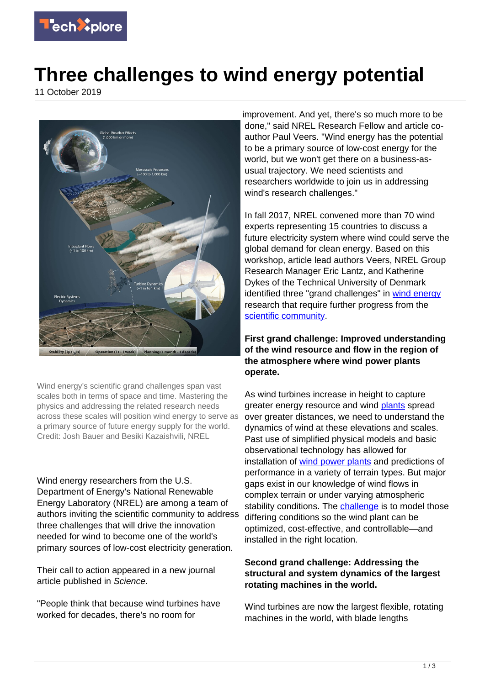

## **Three challenges to wind energy potential**

11 October 2019



Wind energy's scientific grand challenges span vast scales both in terms of space and time. Mastering the physics and addressing the related research needs across these scales will position wind energy to serve as a primary source of future energy supply for the world. Credit: Josh Bauer and Besiki Kazaishvili, NREL

Wind energy researchers from the U.S. Department of Energy's National Renewable Energy Laboratory (NREL) are among a team of authors inviting the scientific community to address three challenges that will drive the innovation needed for wind to become one of the world's primary sources of low-cost electricity generation.

Their call to action appeared in a new journal article published in Science.

"People think that because wind turbines have worked for decades, there's no room for

improvement. And yet, there's so much more to be done," said NREL Research Fellow and article coauthor Paul Veers. "Wind energy has the potential to be a primary source of low-cost energy for the world, but we won't get there on a business-asusual trajectory. We need scientists and researchers worldwide to join us in addressing wind's research challenges."

In fall 2017, NREL convened more than 70 wind experts representing 15 countries to discuss a future electricity system where wind could serve the global demand for clean energy. Based on this workshop, article lead authors Veers, NREL Group Research Manager Eric Lantz, and Katherine Dykes of the Technical University of Denmark identified three "grand challenges" in [wind energy](https://techxplore.com/tags/wind+energy/) research that require further progress from the [scientific community.](https://techxplore.com/tags/scientific+community/)

**First grand challenge: Improved understanding of the wind resource and flow in the region of the atmosphere where wind power plants operate.**

As wind turbines increase in height to capture greater energy resource and wind [plants](https://techxplore.com/tags/plants/) spread over greater distances, we need to understand the dynamics of wind at these elevations and scales. Past use of simplified physical models and basic observational technology has allowed for installation of [wind power plants](https://techxplore.com/tags/wind+power+plants/) and predictions of performance in a variety of terrain types. But major gaps exist in our knowledge of wind flows in complex terrain or under varying atmospheric stability conditions. The [challenge](https://techxplore.com/tags/challenge/) is to model those differing conditions so the wind plant can be optimized, cost-effective, and controllable—and installed in the right location.

## **Second grand challenge: Addressing the structural and system dynamics of the largest rotating machines in the world.**

Wind turbines are now the largest flexible, rotating machines in the world, with blade lengths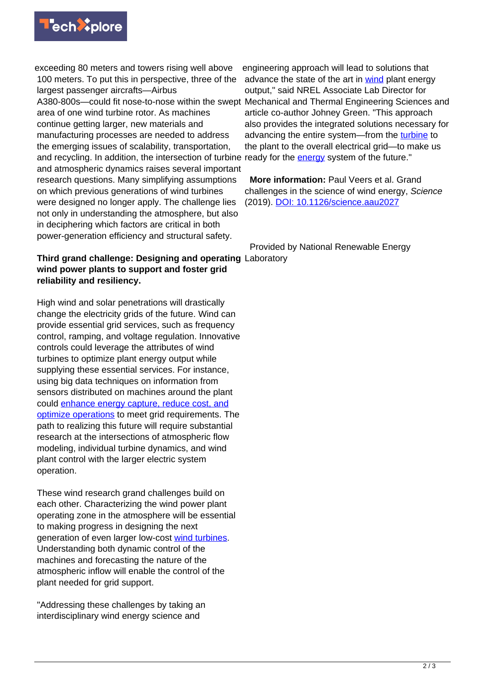

exceeding 80 meters and towers rising well above 100 meters. To put this in perspective, three of the largest passenger aircrafts—Airbus A380-800s—could fit nose-to-nose within the swept area of one wind turbine rotor. As machines continue getting larger, new materials and manufacturing processes are needed to address the emerging issues of scalability, transportation, and recycling. In addition, the intersection of turbine ready for the **energy** system of the future." and atmospheric dynamics raises several important research questions. Many simplifying assumptions on which previous generations of wind turbines were designed no longer apply. The challenge lies not only in understanding the atmosphere, but also in deciphering which factors are critical in both power-generation efficiency and structural safety.

## **Third grand challenge: Designing and operating** Laboratory **wind power plants to support and foster grid reliability and resiliency.**

High wind and solar penetrations will drastically change the electricity grids of the future. Wind can provide essential grid services, such as frequency control, ramping, and voltage regulation. Innovative controls could leverage the attributes of wind turbines to optimize plant energy output while supplying these essential services. For instance, using big data techniques on information from sensors distributed on machines around the plant could [enhance energy capture, reduce cost, and](https://www.nrel.gov/news/program/2019/field-trials-validate-wind-turbine-wake-steering-impact-at-scale.html) [optimize operations](https://www.nrel.gov/news/program/2019/field-trials-validate-wind-turbine-wake-steering-impact-at-scale.html) to meet grid requirements. The path to realizing this future will require substantial research at the intersections of atmospheric flow modeling, individual turbine dynamics, and wind plant control with the larger electric system operation.

These wind research grand challenges build on each other. Characterizing the wind power plant operating zone in the atmosphere will be essential to making progress in designing the next generation of even larger low-cost [wind turbines.](https://techxplore.com/tags/wind+turbines/) Understanding both dynamic control of the machines and forecasting the nature of the atmospheric inflow will enable the control of the plant needed for grid support.

"Addressing these challenges by taking an interdisciplinary wind energy science and

engineering approach will lead to solutions that advance the state of the art in [wind](https://techxplore.com/tags/wind/) plant energy output," said NREL Associate Lab Director for Mechanical and Thermal Engineering Sciences and article co-author Johney Green. "This approach also provides the integrated solutions necessary for advancing the entire system—from the [turbine](https://techxplore.com/tags/turbine/) to the plant to the overall electrical grid—to make us

 **More information:** Paul Veers et al. Grand challenges in the science of wind energy, Science (2019). [DOI: 10.1126/science.aau2027](http://dx.doi.org/10.1126/science.aau2027)

Provided by National Renewable Energy